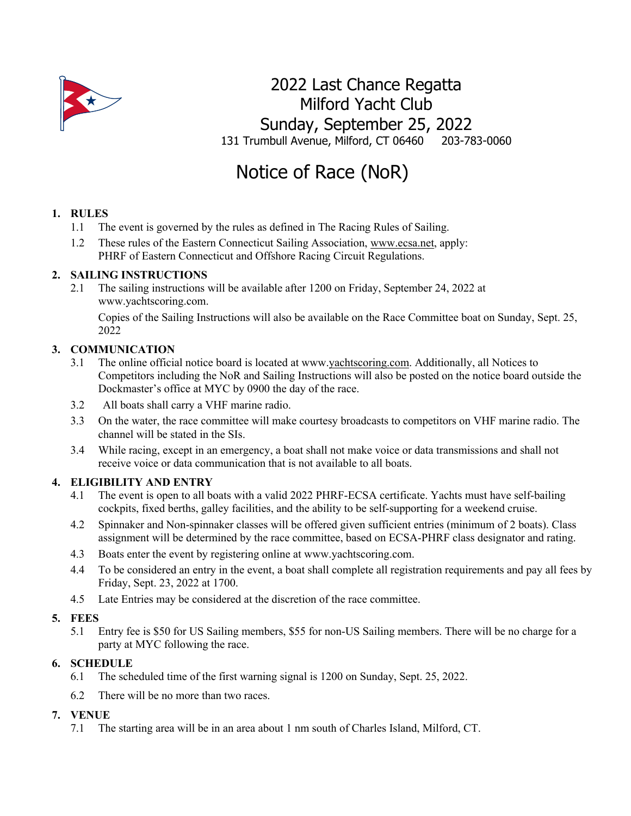

# 2022 Last Chance Regatta Milford Yacht Club Sunday, September 25, 2022 131 Trumbull Avenue, Milford, CT 06460 203-783-0060

# Notice of Race (NoR)

# **1. RULES**

- 1.1 The event is governed by the rules as defined in The Racing Rules of Sailing.
- 1.2 These rules of the Eastern Connecticut Sailing Association, www.ecsa.net, apply: PHRF of Eastern Connecticut and Offshore Racing Circuit Regulations.

# **2. SAILING INSTRUCTIONS**

2.1 The sailing instructions will be available after 1200 on Friday, September 24, 2022 at www.yachtscoring.com.

Copies of the Sailing Instructions will also be available on the Race Committee boat on Sunday, Sept. 25, 2022

# **3. COMMUNICATION**

- 3.1 The online official notice board is located at www.yachtscoring.com. Additionally, all Notices to Competitors including the NoR and Sailing Instructions will also be posted on the notice board outside the Dockmaster's office at MYC by 0900 the day of the race.
- 3.2 All boats shall carry a VHF marine radio.
- 3.3 On the water, the race committee will make courtesy broadcasts to competitors on VHF marine radio. The channel will be stated in the SIs.
- 3.4 While racing, except in an emergency, a boat shall not make voice or data transmissions and shall not receive voice or data communication that is not available to all boats.

# **4. ELIGIBILITY AND ENTRY**

- 4.1 The event is open to all boats with a valid 2022 PHRF-ECSA certificate. Yachts must have self-bailing cockpits, fixed berths, galley facilities, and the ability to be self-supporting for a weekend cruise.
- 4.2 Spinnaker and Non-spinnaker classes will be offered given sufficient entries (minimum of 2 boats). Class assignment will be determined by the race committee, based on ECSA-PHRF class designator and rating.
- 4.3 Boats enter the event by registering online at www.yachtscoring.com.
- 4.4 To be considered an entry in the event, a boat shall complete all registration requirements and pay all fees by Friday, Sept. 23, 2022 at 1700.
- 4.5 Late Entries may be considered at the discretion of the race committee.

# **5. FEES**

5.1 Entry fee is \$50 for US Sailing members, \$55 for non-US Sailing members. There will be no charge for a party at MYC following the race.

# **6. SCHEDULE**

- 6.1 The scheduled time of the first warning signal is 1200 on Sunday, Sept. 25, 2022.
- 6.2 There will be no more than two races.

# **7. VENUE**

7.1 The starting area will be in an area about 1 nm south of Charles Island, Milford, CT.